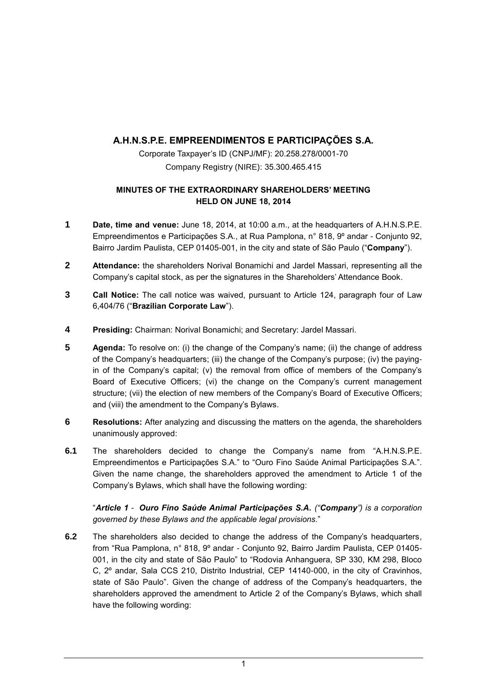# **A.H.N.S.P.E. EMPREENDIMENTOS E PARTICIPAÇÕES S.A.**

Corporate Taxpayer's ID (CNPJ/MF): 20.258.278/0001-70 Company Registry (NIRE): 35.300.465.415

# **MINUTES OF THE EXTRAORDINARY SHAREHOLDERS' MEETING HELD ON JUNE 18, 2014**

- **1 Date, time and venue:** June 18, 2014, at 10:00 a.m., at the headquarters of A.H.N.S.P.E. Empreendimentos e Participações S.A., at Rua Pamplona, n° 818, 9º andar - Conjunto 92, Bairro Jardim Paulista, CEP 01405-001, in the city and state of São Paulo ("**Company**").
- **2 Attendance:** the shareholders Norival Bonamichi and Jardel Massari, representing all the Company's capital stock, as per the signatures in the Shareholders' Attendance Book.
- **3 Call Notice:** The call notice was waived, pursuant to Article 124, paragraph four of Law 6,404/76 ("**Brazilian Corporate Law**").
- **4 Presiding:** Chairman: Norival Bonamichi; and Secretary: Jardel Massari.
- **5 Agenda:** To resolve on: (i) the change of the Company's name; (ii) the change of address of the Company's headquarters; (iii) the change of the Company's purpose; (iv) the payingin of the Company's capital; (v) the removal from office of members of the Company's Board of Executive Officers; (vi) the change on the Company's current management structure; (vii) the election of new members of the Company's Board of Executive Officers; and (viii) the amendment to the Company's Bylaws.
- **6 Resolutions:** After analyzing and discussing the matters on the agenda, the shareholders unanimously approved:
- **6.1** The shareholders decided to change the Company's name from "A.H.N.S.P.E. Empreendimentos e Participações S.A." to "Ouro Fino Saúde Animal Participações S.A.". Given the name change, the shareholders approved the amendment to Article 1 of the Company's Bylaws, which shall have the following wording:

"*Article 1 - Ouro Fino Saúde Animal Participações S.A. ("Company") is a corporation governed by these Bylaws and the applicable legal provisions.*"

**6.2** The shareholders also decided to change the address of the Company's headquarters, from "Rua Pamplona, n° 818, 9º andar - Conjunto 92, Bairro Jardim Paulista, CEP 01405- 001, in the city and state of São Paulo" to "Rodovia Anhanguera, SP 330, KM 298, Bloco C, 2º andar, Sala CCS 210, Distrito Industrial, CEP 14140-000, in the city of Cravinhos, state of São Paulo". Given the change of address of the Company's headquarters, the shareholders approved the amendment to Article 2 of the Company's Bylaws, which shall have the following wording: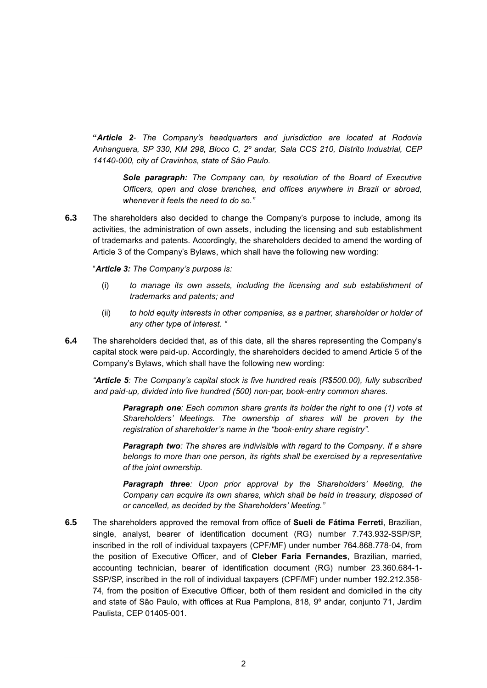**"***Article 2- The Company's headquarters and jurisdiction are located at Rodovia Anhanguera, SP 330, KM 298, Bloco C, 2º andar, Sala CCS 210, Distrito Industrial, CEP 14140-000, city of Cravinhos, state of São Paulo.*

*Sole paragraph: The Company can, by resolution of the Board of Executive Officers, open and close branches, and offices anywhere in Brazil or abroad, whenever it feels the need to do so."*

**6.3** The shareholders also decided to change the Company's purpose to include, among its activities, the administration of own assets, including the licensing and sub establishment of trademarks and patents. Accordingly, the shareholders decided to amend the wording of Article 3 of the Company's Bylaws, which shall have the following new wording:

"*Article 3: The Company's purpose is:*

- (i) *to manage its own assets, including the licensing and sub establishment of trademarks and patents; and*
- (ii) *to hold equity interests in other companies, as a partner, shareholder or holder of any other type of interest. "*
- **6.4** The shareholders decided that, as of this date, all the shares representing the Company's capital stock were paid-up. Accordingly, the shareholders decided to amend Article 5 of the Company's Bylaws, which shall have the following new wording:

*"Article 5: The Company's capital stock is five hundred reais (R\$500.00), fully subscribed and paid-up, divided into five hundred (500) non-par, book-entry common shares.*

*Paragraph one: Each common share grants its holder the right to one (1) vote at Shareholders' Meetings. The ownership of shares will be proven by the registration of shareholder's name in the "book-entry share registry".*

*Paragraph two: The shares are indivisible with regard to the Company. If a share belongs to more than one person, its rights shall be exercised by a representative of the joint ownership.*

*Paragraph three: Upon prior approval by the Shareholders' Meeting, the Company can acquire its own shares, which shall be held in treasury, disposed of or cancelled, as decided by the Shareholders' Meeting."*

**6.5** The shareholders approved the removal from office of **Sueli de Fátima Ferreti**, Brazilian, single, analyst, bearer of identification document (RG) number 7.743.932-SSP/SP, inscribed in the roll of individual taxpayers (CPF/MF) under number 764.868.778-04, from the position of Executive Officer, and of **Cleber Faria Fernandes**, Brazilian, married, accounting technician, bearer of identification document (RG) number 23.360.684-1- SSP/SP, inscribed in the roll of individual taxpayers (CPF/MF) under number 192.212.358- 74, from the position of Executive Officer, both of them resident and domiciled in the city and state of São Paulo, with offices at Rua Pamplona, 818, 9º andar, conjunto 71, Jardim Paulista, CEP 01405-001.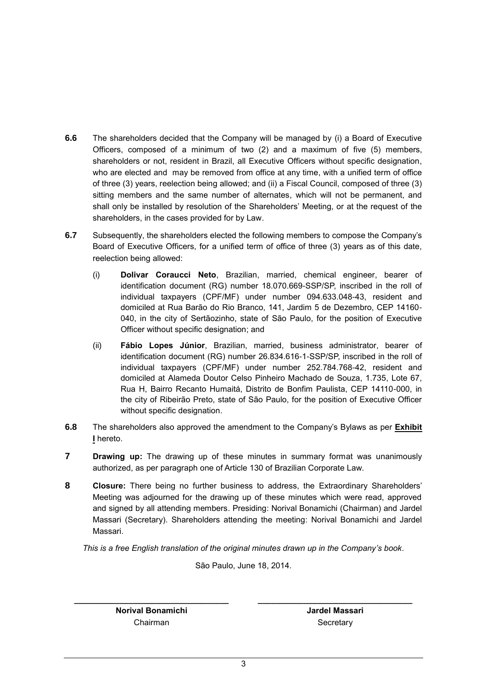- **6.6** The shareholders decided that the Company will be managed by (i) a Board of Executive Officers, composed of a minimum of two (2) and a maximum of five (5) members, shareholders or not, resident in Brazil, all Executive Officers without specific designation, who are elected and may be removed from office at any time, with a unified term of office of three (3) years, reelection being allowed; and (ii) a Fiscal Council, composed of three (3) sitting members and the same number of alternates, which will not be permanent, and shall only be installed by resolution of the Shareholders' Meeting, or at the request of the shareholders, in the cases provided for by Law.
- **6.7** Subsequently, the shareholders elected the following members to compose the Company's Board of Executive Officers, for a unified term of office of three (3) years as of this date, reelection being allowed:
	- (i) **Dolivar Coraucci Neto**, Brazilian, married, chemical engineer, bearer of identification document (RG) number 18.070.669-SSP/SP, inscribed in the roll of individual taxpayers (CPF/MF) under number 094.633.048-43, resident and domiciled at Rua Barão do Rio Branco, 141, Jardim 5 de Dezembro, CEP 14160- 040, in the city of Sertãozinho, state of São Paulo, for the position of Executive Officer without specific designation; and
	- (ii) **Fábio Lopes Júnior**, Brazilian, married, business administrator, bearer of identification document (RG) number 26.834.616-1-SSP/SP, inscribed in the roll of individual taxpayers (CPF/MF) under number 252.784.768-42, resident and domiciled at Alameda Doutor Celso Pinheiro Machado de Souza, 1.735, Lote 67, Rua H, Bairro Recanto Humaitá, Distrito de Bonfim Paulista, CEP 14110-000, in the city of Ribeirão Preto, state of São Paulo, for the position of Executive Officer without specific designation.
- **6.8** The shareholders also approved the amendment to the Company's Bylaws as per **Exhibit I** hereto.
- **7 Drawing up:** The drawing up of these minutes in summary format was unanimously authorized, as per paragraph one of Article 130 of Brazilian Corporate Law.
- **8 Closure:** There being no further business to address, the Extraordinary Shareholders' Meeting was adjourned for the drawing up of these minutes which were read, approved and signed by all attending members. Presiding: Norival Bonamichi (Chairman) and Jardel Massari (Secretary). Shareholders attending the meeting: Norival Bonamichi and Jardel Massari.

*This is a free English translation of the original minutes drawn up in the Company's book.*

São Paulo, June 18, 2014.

**Norival Bonamichi** Chairman

**\_\_\_\_\_\_\_\_\_\_\_\_\_\_\_\_\_\_\_\_\_\_\_\_\_\_\_\_\_\_\_\_\_\_**

**Jardel Massari Secretary** 

**\_\_\_\_\_\_\_\_\_\_\_\_\_\_\_\_\_\_\_\_\_\_\_\_\_\_\_\_\_\_\_\_\_\_**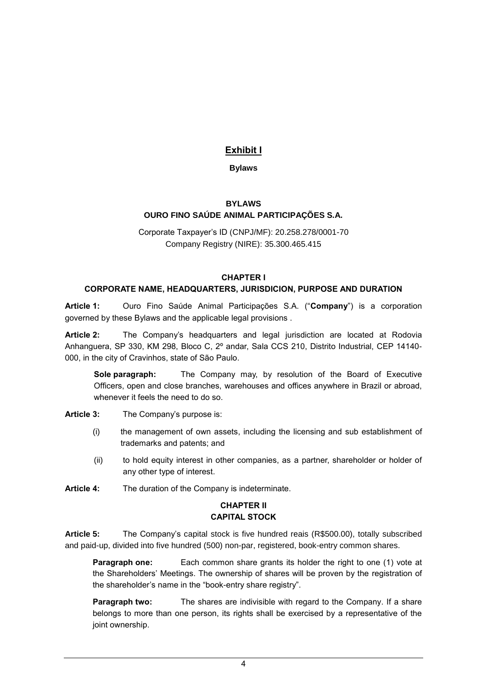# **Exhibit I**

# **Bylaws**

#### **BYLAWS OURO FINO SAÚDE ANIMAL PARTICIPAÇÕES S.A.**

Corporate Taxpayer's ID (CNPJ/MF): 20.258.278/0001-70 Company Registry (NIRE): 35.300.465.415

#### **CHAPTER I**

# **CORPORATE NAME, HEADQUARTERS, JURISDICION, PURPOSE AND DURATION**

**Article 1:** Ouro Fino Saúde Animal Participações S.A. ("**Company**") is a corporation governed by these Bylaws and the applicable legal provisions .

**Article 2:** The Company's headquarters and legal jurisdiction are located at Rodovia Anhanguera, SP 330, KM 298, Bloco C, 2º andar, Sala CCS 210, Distrito Industrial, CEP 14140- 000, in the city of Cravinhos, state of São Paulo.

**Sole paragraph:** The Company may, by resolution of the Board of Executive Officers, open and close branches, warehouses and offices anywhere in Brazil or abroad, whenever it feels the need to do so.

- **Article 3:** The Company's purpose is:
	- (i) the management of own assets, including the licensing and sub establishment of trademarks and patents; and
	- (ii) to hold equity interest in other companies, as a partner, shareholder or holder of any other type of interest.
- **Article 4:** The duration of the Company is indeterminate.

# **CHAPTER II CAPITAL STOCK**

**Article 5:** The Company's capital stock is five hundred reais (R\$500.00), totally subscribed and paid-up, divided into five hundred (500) non-par, registered, book-entry common shares.

**Paragraph one:** Each common share grants its holder the right to one (1) yote at the Shareholders' Meetings. The ownership of shares will be proven by the registration of the shareholder's name in the "book-entry share registry".

**Paragraph two:** The shares are indivisible with regard to the Company. If a share belongs to more than one person, its rights shall be exercised by a representative of the joint ownership.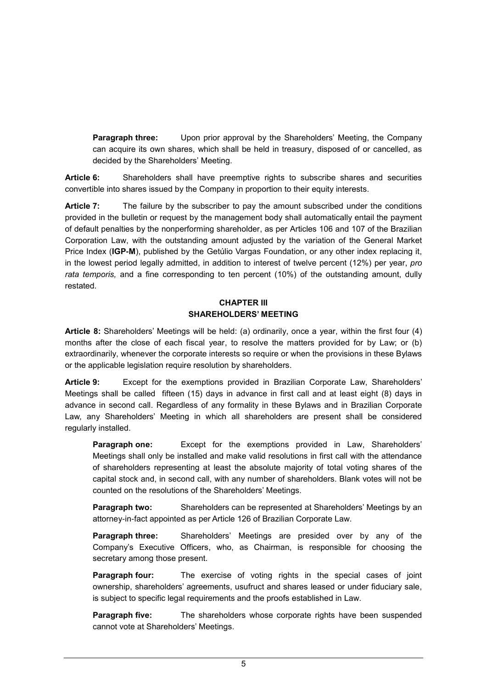**Paragraph three:** Upon prior approval by the Shareholders' Meeting, the Company can acquire its own shares, which shall be held in treasury, disposed of or cancelled, as decided by the Shareholders' Meeting.

**Article 6:** Shareholders shall have preemptive rights to subscribe shares and securities convertible into shares issued by the Company in proportion to their equity interests.

**Article 7:** The failure by the subscriber to pay the amount subscribed under the conditions provided in the bulletin or request by the management body shall automatically entail the payment of default penalties by the nonperforming shareholder, as per Articles 106 and 107 of the Brazilian Corporation Law, with the outstanding amount adjusted by the variation of the General Market Price Index (**IGP-M**), published by the Getúlio Vargas Foundation, or any other index replacing it, in the lowest period legally admitted, in addition to interest of twelve percent (12%) per year, *pro rata temporis,* and a fine corresponding to ten percent (10%) of the outstanding amount, dully restated.

#### **CHAPTER III SHAREHOLDERS' MEETING**

**Article 8:** Shareholders' Meetings will be held: (a) ordinarily, once a year, within the first four (4) months after the close of each fiscal year, to resolve the matters provided for by Law; or (b) extraordinarily, whenever the corporate interests so require or when the provisions in these Bylaws or the applicable legislation require resolution by shareholders.

**Article 9:** Except for the exemptions provided in Brazilian Corporate Law, Shareholders' Meetings shall be called fifteen (15) days in advance in first call and at least eight (8) days in advance in second call. Regardless of any formality in these Bylaws and in Brazilian Corporate Law, any Shareholders' Meeting in which all shareholders are present shall be considered regularly installed.

**Paragraph one:** Except for the exemptions provided in Law, Shareholders' Meetings shall only be installed and make valid resolutions in first call with the attendance of shareholders representing at least the absolute majority of total voting shares of the capital stock and, in second call, with any number of shareholders. Blank votes will not be counted on the resolutions of the Shareholders' Meetings.

**Paragraph two:** Shareholders can be represented at Shareholders' Meetings by an attorney-in-fact appointed as per Article 126 of Brazilian Corporate Law.

**Paragraph three:** Shareholders' Meetings are presided over by any of the Company's Executive Officers, who, as Chairman, is responsible for choosing the secretary among those present.

**Paragraph four:** The exercise of voting rights in the special cases of joint ownership, shareholders' agreements, usufruct and shares leased or under fiduciary sale, is subject to specific legal requirements and the proofs established in Law.

**Paragraph five:** The shareholders whose corporate rights have been suspended cannot vote at Shareholders' Meetings.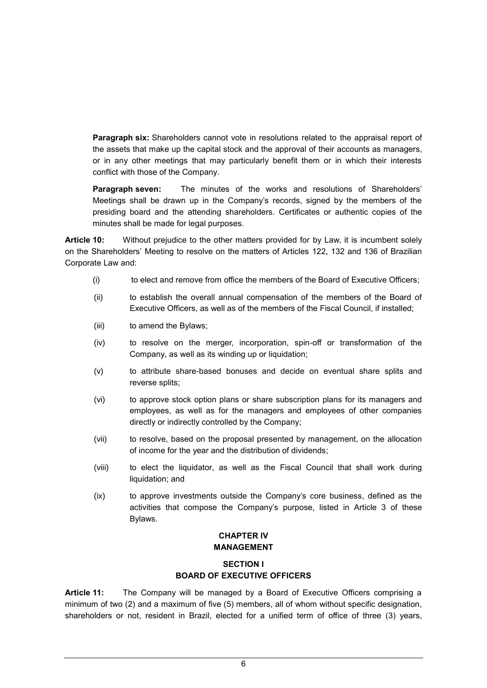**Paragraph six:** Shareholders cannot vote in resolutions related to the appraisal report of the assets that make up the capital stock and the approval of their accounts as managers, or in any other meetings that may particularly benefit them or in which their interests conflict with those of the Company.

**Paragraph seven:** The minutes of the works and resolutions of Shareholders' Meetings shall be drawn up in the Company's records, signed by the members of the presiding board and the attending shareholders. Certificates or authentic copies of the minutes shall be made for legal purposes.

**Article 10:** Without prejudice to the other matters provided for by Law, it is incumbent solely on the Shareholders' Meeting to resolve on the matters of Articles 122, 132 and 136 of Brazilian Corporate Law and:

- (i) to elect and remove from office the members of the Board of Executive Officers;
- (ii) to establish the overall annual compensation of the members of the Board of Executive Officers, as well as of the members of the Fiscal Council, if installed;
- (iii) to amend the Bylaws;
- (iv) to resolve on the merger, incorporation, spin-off or transformation of the Company, as well as its winding up or liquidation;
- (v) to attribute share-based bonuses and decide on eventual share splits and reverse splits;
- (vi) to approve stock option plans or share subscription plans for its managers and employees, as well as for the managers and employees of other companies directly or indirectly controlled by the Company;
- (vii) to resolve, based on the proposal presented by management, on the allocation of income for the year and the distribution of dividends;
- (viii) to elect the liquidator, as well as the Fiscal Council that shall work during liquidation; and
- (ix) to approve investments outside the Company's core business, defined as the activities that compose the Company's purpose, listed in Article 3 of these Bylaws.

#### **CHAPTER IV MANAGEMENT**

# **SECTION I BOARD OF EXECUTIVE OFFICERS**

**Article 11:** The Company will be managed by a Board of Executive Officers comprising a minimum of two (2) and a maximum of five (5) members, all of whom without specific designation, shareholders or not, resident in Brazil, elected for a unified term of office of three (3) years,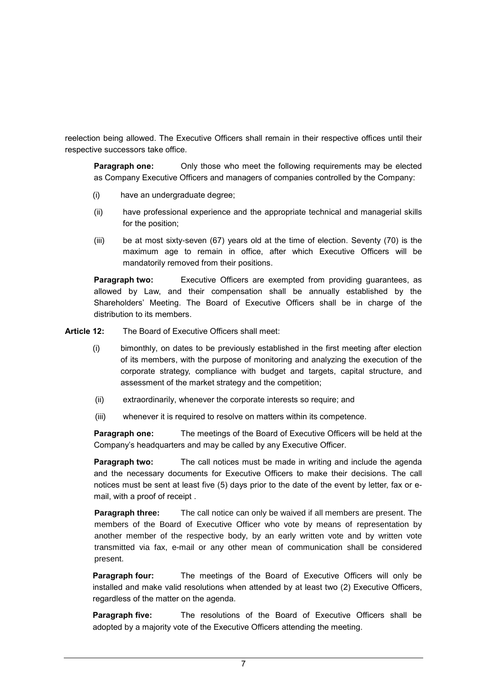reelection being allowed. The Executive Officers shall remain in their respective offices until their respective successors take office.

**Paragraph one:** Only those who meet the following requirements may be elected as Company Executive Officers and managers of companies controlled by the Company:

- (i) have an undergraduate degree;
- (ii) have professional experience and the appropriate technical and managerial skills for the position;
- (iii) be at most sixty-seven (67) years old at the time of election. Seventy (70) is the maximum age to remain in office, after which Executive Officers will be mandatorily removed from their positions.

**Paragraph two:** Executive Officers are exempted from providing guarantees, as allowed by Law, and their compensation shall be annually established by the Shareholders' Meeting. The Board of Executive Officers shall be in charge of the distribution to its members.

**Article 12:** The Board of Executive Officers shall meet:

- (i) bimonthly, on dates to be previously established in the first meeting after election of its members, with the purpose of monitoring and analyzing the execution of the corporate strategy, compliance with budget and targets, capital structure, and assessment of the market strategy and the competition;
- (ii) extraordinarily, whenever the corporate interests so require; and
- (iii) whenever it is required to resolve on matters within its competence.

**Paragraph one:** The meetings of the Board of Executive Officers will be held at the Company's headquarters and may be called by any Executive Officer.

**Paragraph two:** The call notices must be made in writing and include the agenda and the necessary documents for Executive Officers to make their decisions. The call notices must be sent at least five (5) days prior to the date of the event by letter, fax or email, with a proof of receipt .

**Paragraph three:** The call notice can only be waived if all members are present. The members of the Board of Executive Officer who vote by means of representation by another member of the respective body, by an early written vote and by written vote transmitted via fax, e-mail or any other mean of communication shall be considered present.

**Paragraph four:** The meetings of the Board of Executive Officers will only be installed and make valid resolutions when attended by at least two (2) Executive Officers, regardless of the matter on the agenda.

**Paragraph five:** The resolutions of the Board of Executive Officers shall be adopted by a majority vote of the Executive Officers attending the meeting.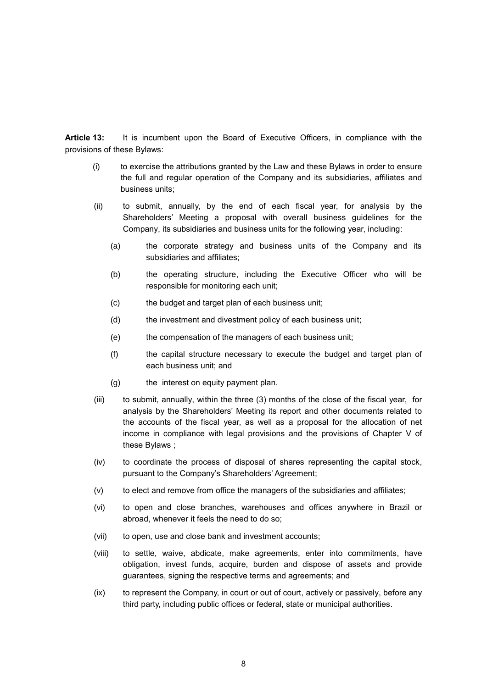**Article 13:** It is incumbent upon the Board of Executive Officers, in compliance with the provisions of these Bylaws:

- (i) to exercise the attributions granted by the Law and these Bylaws in order to ensure the full and regular operation of the Company and its subsidiaries, affiliates and business units;
- (ii) to submit, annually, by the end of each fiscal year, for analysis by the Shareholders' Meeting a proposal with overall business guidelines for the Company, its subsidiaries and business units for the following year, including:
	- (a) the corporate strategy and business units of the Company and its subsidiaries and affiliates:
	- (b) the operating structure, including the Executive Officer who will be responsible for monitoring each unit;
	- (c) the budget and target plan of each business unit;
	- (d) the investment and divestment policy of each business unit;
	- (e) the compensation of the managers of each business unit;
	- (f) the capital structure necessary to execute the budget and target plan of each business unit; and
	- (g) the interest on equity payment plan.
- (iii) to submit, annually, within the three (3) months of the close of the fiscal year, for analysis by the Shareholders' Meeting its report and other documents related to the accounts of the fiscal year, as well as a proposal for the allocation of net income in compliance with legal provisions and the provisions of Chapter V of these Bylaws ;
- (iv) to coordinate the process of disposal of shares representing the capital stock, pursuant to the Company's Shareholders' Agreement;
- (v) to elect and remove from office the managers of the subsidiaries and affiliates;
- (vi) to open and close branches, warehouses and offices anywhere in Brazil or abroad, whenever it feels the need to do so;
- (vii) to open, use and close bank and investment accounts;
- (viii) to settle, waive, abdicate, make agreements, enter into commitments, have obligation, invest funds, acquire, burden and dispose of assets and provide guarantees, signing the respective terms and agreements; and
- (ix) to represent the Company, in court or out of court, actively or passively, before any third party, including public offices or federal, state or municipal authorities.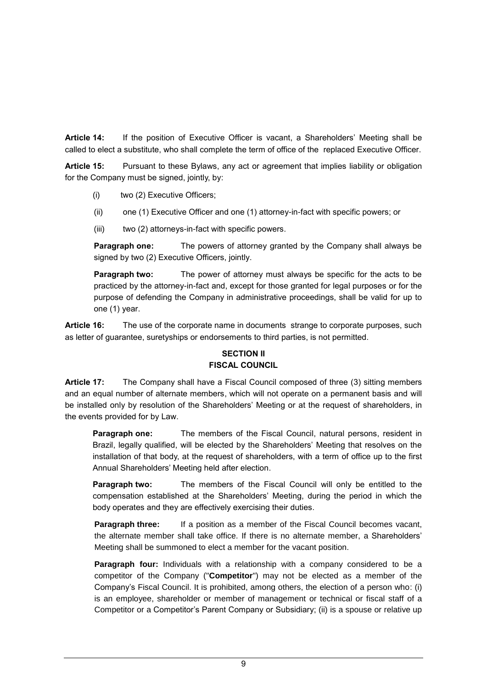**Article 14:** If the position of Executive Officer is vacant, a Shareholders' Meeting shall be called to elect a substitute, who shall complete the term of office of the replaced Executive Officer.

**Article 15:** Pursuant to these Bylaws, any act or agreement that implies liability or obligation for the Company must be signed, jointly, by:

- (i) two (2) Executive Officers;
- (ii) one (1) Executive Officer and one (1) attorney-in-fact with specific powers; or
- (iii) two (2) attorneys-in-fact with specific powers.

**Paragraph one:** The powers of attorney granted by the Company shall always be signed by two (2) Executive Officers, jointly.

**Paragraph two:** The power of attorney must always be specific for the acts to be practiced by the attorney-in-fact and, except for those granted for legal purposes or for the purpose of defending the Company in administrative proceedings, shall be valid for up to one (1) year.

**Article 16:** The use of the corporate name in documents strange to corporate purposes, such as letter of guarantee, suretyships or endorsements to third parties, is not permitted.

# **SECTION II FISCAL COUNCIL**

**Article 17:** The Company shall have a Fiscal Council composed of three (3) sitting members and an equal number of alternate members, which will not operate on a permanent basis and will be installed only by resolution of the Shareholders' Meeting or at the request of shareholders, in the events provided for by Law.

**Paragraph one:** The members of the Fiscal Council, natural persons, resident in Brazil, legally qualified, will be elected by the Shareholders' Meeting that resolves on the installation of that body, at the request of shareholders, with a term of office up to the first Annual Shareholders' Meeting held after election.

**Paragraph two:** The members of the Fiscal Council will only be entitled to the compensation established at the Shareholders' Meeting, during the period in which the body operates and they are effectively exercising their duties.

**Paragraph three:** If a position as a member of the Fiscal Council becomes vacant, the alternate member shall take office. If there is no alternate member, a Shareholders' Meeting shall be summoned to elect a member for the vacant position.

**Paragraph four:** Individuals with a relationship with a company considered to be a competitor of the Company ("**Competitor**") may not be elected as a member of the Company's Fiscal Council. It is prohibited, among others, the election of a person who: (i) is an employee, shareholder or member of management or technical or fiscal staff of a Competitor or a Competitor's Parent Company or Subsidiary; (ii) is a spouse or relative up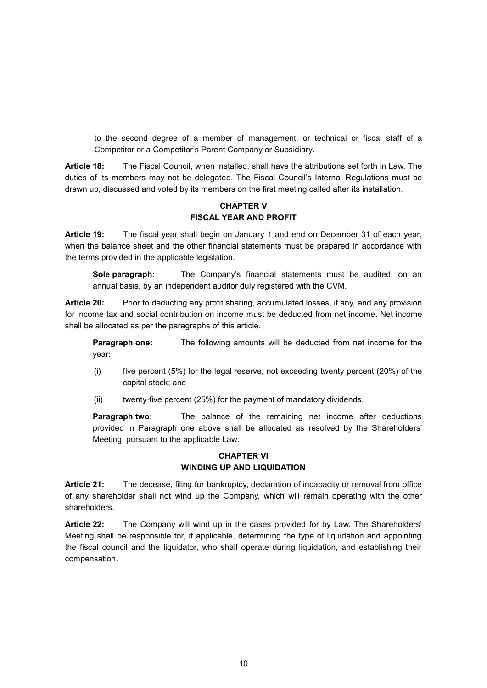to the second degree of a member of management, or technical or fiscal staff of a Competitor or a Competitor's Parent Company or Subsidiary.

**Article 18:** The Fiscal Council, when installed, shall have the attributions set forth in Law. The duties of its members may not be delegated. The Fiscal Council's Internal Regulations must be drawn up, discussed and voted by its members on the first meeting called after its installation.

#### **CHAPTER V FISCAL YEAR AND PROFIT**

**Article 19:** The fiscal year shall begin on January 1 and end on December 31 of each year, when the balance sheet and the other financial statements must be prepared in accordance with the terms provided in the applicable legislation.

**Sole paragraph:** The Company's financial statements must be audited, on an annual basis, by an independent auditor duly registered with the CVM.

**Article 20:** Prior to deducting any profit sharing, accumulated losses, if any, and any provision for income tax and social contribution on income must be deducted from net income. Net income shall be allocated as per the paragraphs of this article.

**Paragraph one:** The following amounts will be deducted from net income for the year:

- (i) five percent (5%) for the legal reserve, not exceeding twenty percent (20%) of the capital stock; and
- (ii) twenty-five percent (25%) for the payment of mandatory dividends.

**Paragraph two:** The balance of the remaining net income after deductions provided in Paragraph one above shall be allocated as resolved by the Shareholders' Meeting, pursuant to the applicable Law.

# **CHAPTER VI WINDING UP AND LIQUIDATION**

**Article 21:** The decease, filing for bankruptcy, declaration of incapacity or removal from office of any shareholder shall not wind up the Company, which will remain operating with the other shareholders.

**Article 22:** The Company will wind up in the cases provided for by Law. The Shareholders' Meeting shall be responsible for, if applicable, determining the type of liquidation and appointing the fiscal council and the liquidator, who shall operate during liquidation, and establishing their compensation.